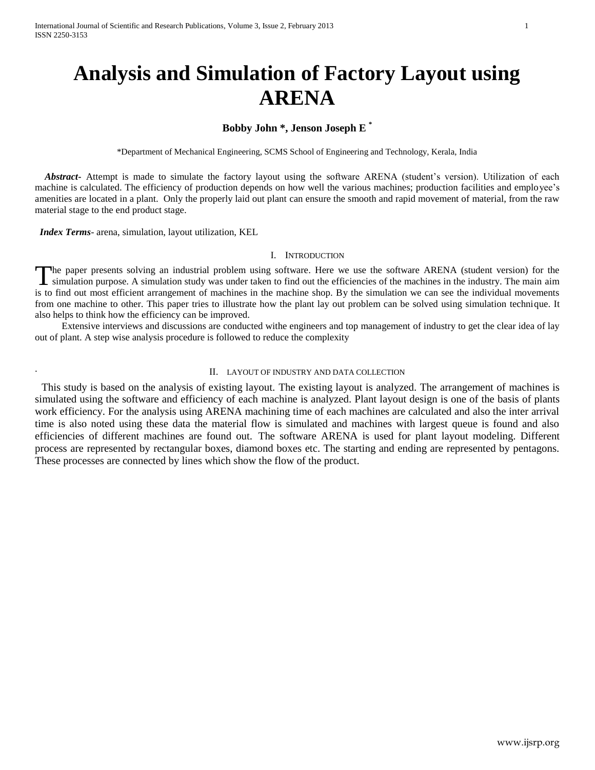# **Analysis and Simulation of Factory Layout using ARENA**

# **Bobby John \*, Jenson Joseph E \***

\*Department of Mechanical Engineering, SCMS School of Engineering and Technology, Kerala, India

 *Abstract***-** Attempt is made to simulate the factory layout using the software ARENA (student's version). Utilization of each machine is calculated. The efficiency of production depends on how well the various machines; production facilities and employee's amenities are located in a plant. Only the properly laid out plant can ensure the smooth and rapid movement of material, from the raw material stage to the end product stage.

 *Index Terms*- arena, simulation, layout utilization, KEL

.

## I. INTRODUCTION

The paper presents solving an industrial problem using software. Here we use the software ARENA (student version) for the The paper presents solving an industrial problem using software. Here we use the software ARENA (student version) for the simulation purpose. A simulation study was under taken to find out the efficiencies of the machines is to find out most efficient arrangement of machines in the machine shop. By the simulation we can see the individual movements from one machine to other. This paper tries to illustrate how the plant lay out problem can be solved using simulation technique. It also helps to think how the efficiency can be improved.

 Extensive interviews and discussions are conducted withe engineers and top management of industry to get the clear idea of lay out of plant. A step wise analysis procedure is followed to reduce the complexity

#### II. LAYOUT OF INDUSTRY AND DATA COLLECTION

 This study is based on the analysis of existing layout. The existing layout is analyzed. The arrangement of machines is simulated using the software and efficiency of each machine is analyzed. Plant layout design is one of the basis of plants work efficiency. For the analysis using ARENA machining time of each machines are calculated and also the inter arrival time is also noted using these data the material flow is simulated and machines with largest queue is found and also efficiencies of different machines are found out. The software ARENA is used for plant layout modeling. Different process are represented by rectangular boxes, diamond boxes etc. The starting and ending are represented by pentagons. These processes are connected by lines which show the flow of the product.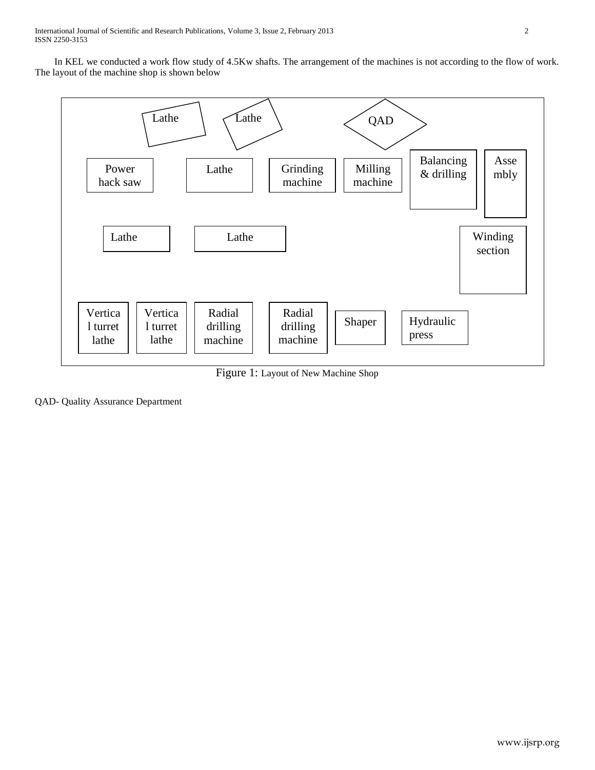In KEL we conducted a work flow study of 4.5Kw shafts. The arrangement of the machines is not according to the flow of work. The layout of the machine shop is shown below



Figure 1: Layout of New Machine Shop

QAD- Quality Assurance Department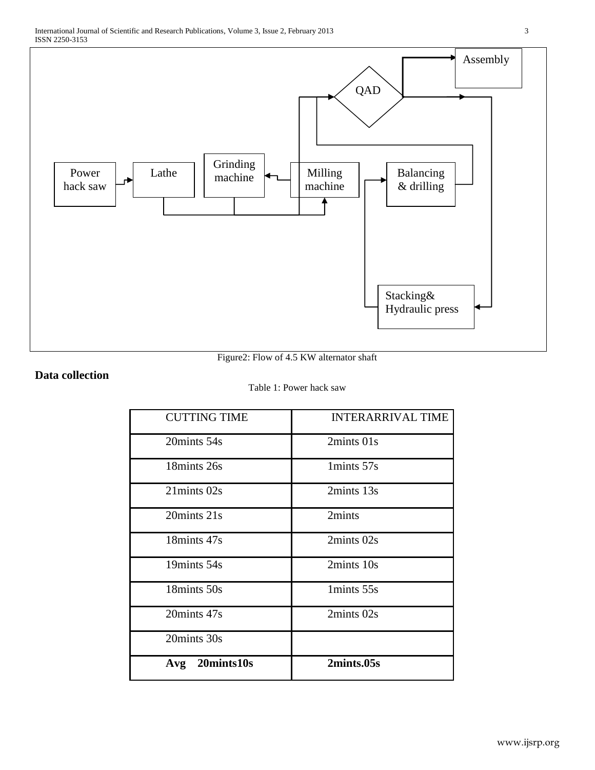

Figure2: Flow of 4.5 KW alternator shaft

Hydraulic press

# **Data collection**

# Table 1: Power hack saw

| <b>CUTTING TIME</b> | <b>INTERARRIVAL TIME</b> |
|---------------------|--------------------------|
| 20mints 54s         | 2mints 01s               |
| 18mints 26s         | 1mints 57s               |
| 21mints 02s         | 2mints 13s               |
| 20mints 21s         | 2mints                   |
| 18mints 47s         | 2mints 02s               |
| 19mints 54s         | 2mints 10s               |
| 18mints 50s         | 1mints 55s               |
| 20mints 47s         | 2mints 02s               |
| 20mints 30s         |                          |
| 20mints10s<br>Avg   | 2mints.05s               |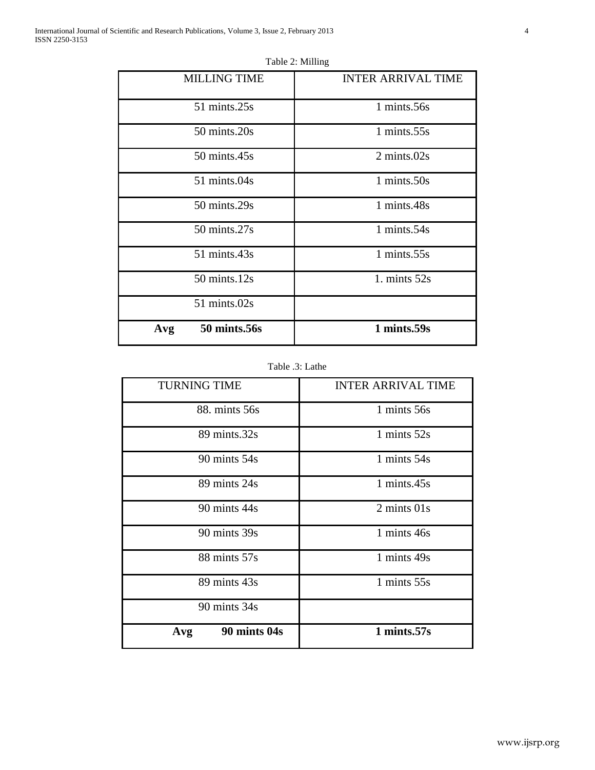| <b>MILLING TIME</b>    | <b>INTER ARRIVAL TIME</b> |
|------------------------|---------------------------|
| 51 mints.25s           | 1 mints.56s               |
| $50 \text{ mints}.20s$ | 1 mints.55s               |
| 50 mints.45s           | 2 mints.02s               |
| 51 mints.04s           | 1 mints.50s               |
| 50 mints.29s           | 1 mints.48s               |
| 50 mints.27s           | 1 mints.54s               |
| 51 mints.43s           | $1 \text{ mints}.55$ s    |
| $50 \text{ mints}.12s$ | 1. mints $52s$            |
| 51 mints.02s           |                           |
| 50 mints.56s<br>Avg    | 1 mints.59s               |

Table 2: Milling

Table .3: Lathe

| <b>TURNING TIME</b> | <b>INTER ARRIVAL TIME</b>      |
|---------------------|--------------------------------|
| 88. mints 56s       | 1 mints 56s                    |
| 89 mints.32s        | 1 mints $52s$                  |
| 90 mints 54s        | 1 mints 54s                    |
| 89 mints 24s        | 1 mints.45s                    |
| 90 mints 44s        | $2 \text{ minus } 01 \text{s}$ |
| 90 mints 39s        | 1 mints 46s                    |
| 88 mints 57s        | 1 mints 49s                    |
| 89 mints 43s        | 1 mints 55s                    |
| 90 mints 34s        |                                |
| 90 mints 04s<br>Avg | 1 mints.57s                    |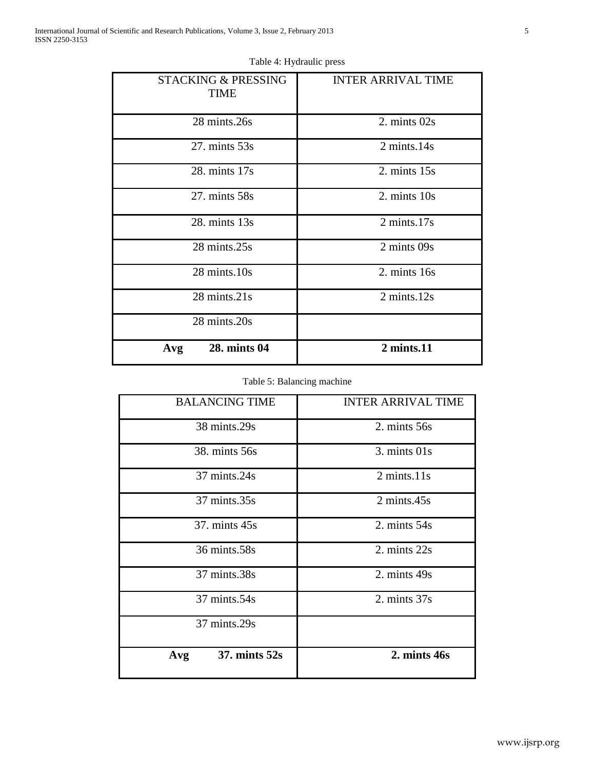| <b>STACKING &amp; PRESSING</b><br><b>TIME</b> | <b>INTER ARRIVAL TIME</b> |
|-----------------------------------------------|---------------------------|
| 28 mints.26s                                  | 2. mints 02s              |
| $27.$ mints $53s$                             | 2 mints.14s               |
| 28. mints 17s                                 | $2. \text{ minus } 15s$   |
| 27. mints 58s                                 | 2. mints 10s              |
| 28. mints 13s                                 | $2 \text{ minutes}.17$ s  |
| 28 mints.25s                                  | 2 mints 09s               |
| 28 mints.10s                                  | 2. mints 16s              |
| 28 mints.21s                                  | 2 mints.12s               |
| 28 mints.20s                                  |                           |
| 28. mints 04<br>Avg                           | $2 \text{ mints}.11$      |

# Table 4: Hydraulic press

# Table 5: Balancing machine

| <b>BALANCING TIME</b>           | <b>INTER ARRIVAL TIME</b>       |
|---------------------------------|---------------------------------|
| 38 mints.29s                    | 2. mints 56s                    |
| 38. mints 56s                   | $3. \text{ minus } 01s$         |
| 37 mints.24s                    | $2 \text{ minutes}.11 \text{s}$ |
| 37 mints.35s                    | $2 \text{ mints}.45 \text{s}$   |
| 37. mints 45s                   | 2. mints $54s$                  |
| 36 mints.58s                    | 2. mints 22s                    |
| 37 mints.38s                    | 2. mints 49s                    |
| 37 mints.54s                    | 2. mints $37s$                  |
| 37 mints.29s                    |                                 |
| $37. \text{ minus } 52s$<br>Avg | 2. mints 46s                    |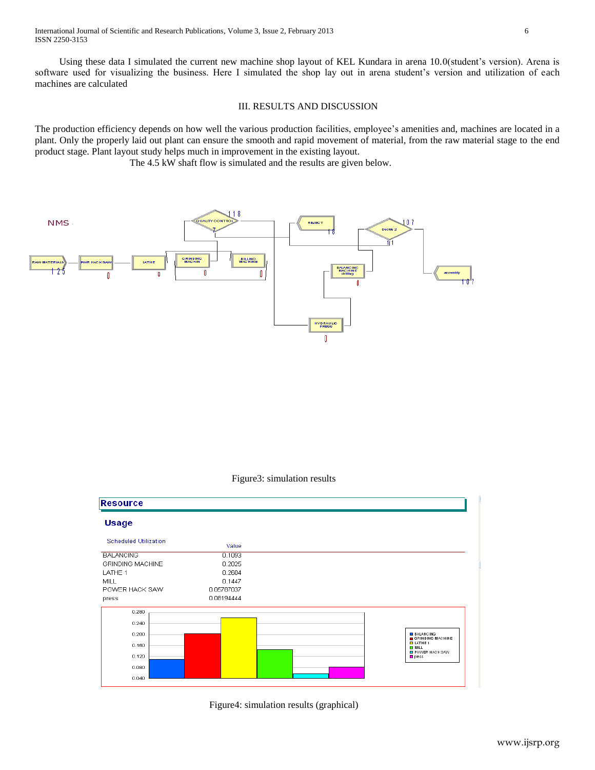Using these data I simulated the current new machine shop layout of KEL Kundara in arena 10.0(student's version). Arena is software used for visualizing the business. Here I simulated the shop lay out in arena student's version and utilization of each machines are calculated

# III. RESULTS AND DISCUSSION

The production efficiency depends on how well the various production facilities, employee's amenities and, machines are located in a plant. Only the properly laid out plant can ensure the smooth and rapid movement of material, from the raw material stage to the end product stage. Plant layout study helps much in improvement in the existing layout.

The 4.5 kW shaft flow is simulated and the results are given below.





| <b>Resource</b>              |            |                                                        |
|------------------------------|------------|--------------------------------------------------------|
| <b>Usage</b>                 |            |                                                        |
| <b>Scheduled Utilization</b> | Value      |                                                        |
| <b>BALANCING</b>             | 0.1093     |                                                        |
| <b>GRINDING MACHINE</b>      | 0.2025     |                                                        |
| LATHE 1                      | 0.2604     |                                                        |
| <b>MILL</b>                  | 0.1447     |                                                        |
| POWER HACK SAW               | 0.05787037 |                                                        |
| press                        | 0.08194444 |                                                        |
| 0.280                        |            |                                                        |
| 0.240                        |            |                                                        |
| 0.200                        |            | <b>BALANCING</b>                                       |
| 0.160                        |            | GRINDING MACHINE<br>$B$ LATHE 1<br>$\blacksquare$ MILL |
| 0.120                        |            | <b>EI POWER HAC KSAW</b><br>$p$ ress                   |
| 0.080                        |            |                                                        |
|                              |            |                                                        |

Figure4: simulation results (graphical)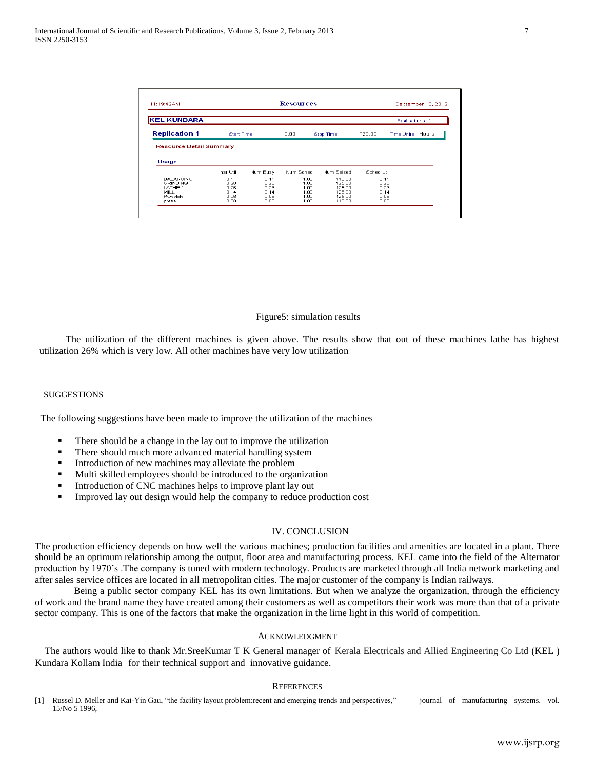| 11:19:42AM                                                                                                      |                              |                              | <b>Resources</b>             |                                      |                              | September 10, 2012     |
|-----------------------------------------------------------------------------------------------------------------|------------------------------|------------------------------|------------------------------|--------------------------------------|------------------------------|------------------------|
| <b>KEL KUNDARA</b>                                                                                              |                              |                              |                              |                                      |                              | <b>Replications: 1</b> |
| <b>Replication 1</b>                                                                                            | <b>Start Time:</b>           |                              | 0.00                         | Stop Time:                           | 720.00                       | Time Units: Hours      |
|                                                                                                                 |                              |                              |                              |                                      |                              |                        |
|                                                                                                                 |                              |                              |                              |                                      |                              |                        |
|                                                                                                                 | Inst Util                    | Num Busy                     | Num Sched                    | Num Seized                           | Sched Util                   |                        |
| <b>Resource Detail Summary</b><br>Usage<br><b>BALANCING</b><br><b>GRINDING</b><br><b>LATHE 1</b><br><b>MILL</b> | 0.11<br>0.20<br>n 26<br>0.14 | 0.11<br>0.20<br>n 26<br>0.14 | 1.00<br>1.00<br>1.00<br>1.00 | 118.00<br>125.00<br>125.00<br>125.00 | 0.11<br>0.20<br>n 26<br>0.14 |                        |

Figure5: simulation results

 The utilization of the different machines is given above. The results show that out of these machines lathe has highest utilization 26% which is very low. All other machines have very low utilization

### **SUGGESTIONS**

The following suggestions have been made to improve the utilization of the machines

- There should be a change in the lay out to improve the utilization
- **There should much more advanced material handling system**
- **Introduction of new machines may alleviate the problem**
- Multi skilled employees should be introduced to the organization
- **Introduction of CNC machines helps to improve plant lay out**
- **Improved lay out design would help the company to reduce production cost**

#### IV. CONCLUSION

The production efficiency depends on how well the various machines; production facilities and amenities are located in a plant. There should be an optimum relationship among the output, floor area and manufacturing process. KEL came into the field of the Alternator production by 1970's .The company is tuned with modern technology. Products are marketed through all India network marketing and after sales service offices are located in all metropolitan cities. The major customer of the company is Indian railways.

 Being a public sector company KEL has its own limitations. But when we analyze the organization, through the efficiency of work and the brand name they have created among their customers as well as competitors their work was more than that of a private sector company. This is one of the factors that make the organization in the lime light in this world of competition.

# ACKNOWLEDGMENT

The authors would like to thank Mr.SreeKumar T K General manager of Kerala Electricals and Allied Engineering Co Ltd (KEL ) Kundara Kollam India for their technical support and innovative guidance.

## **REFERENCES**

[1] Russel D. Meller and Kai-Yin Gau, "the facility layout problem:recent and emerging trends and perspectives," journal of manufacturing systems. vol. 15/No 5 1996,